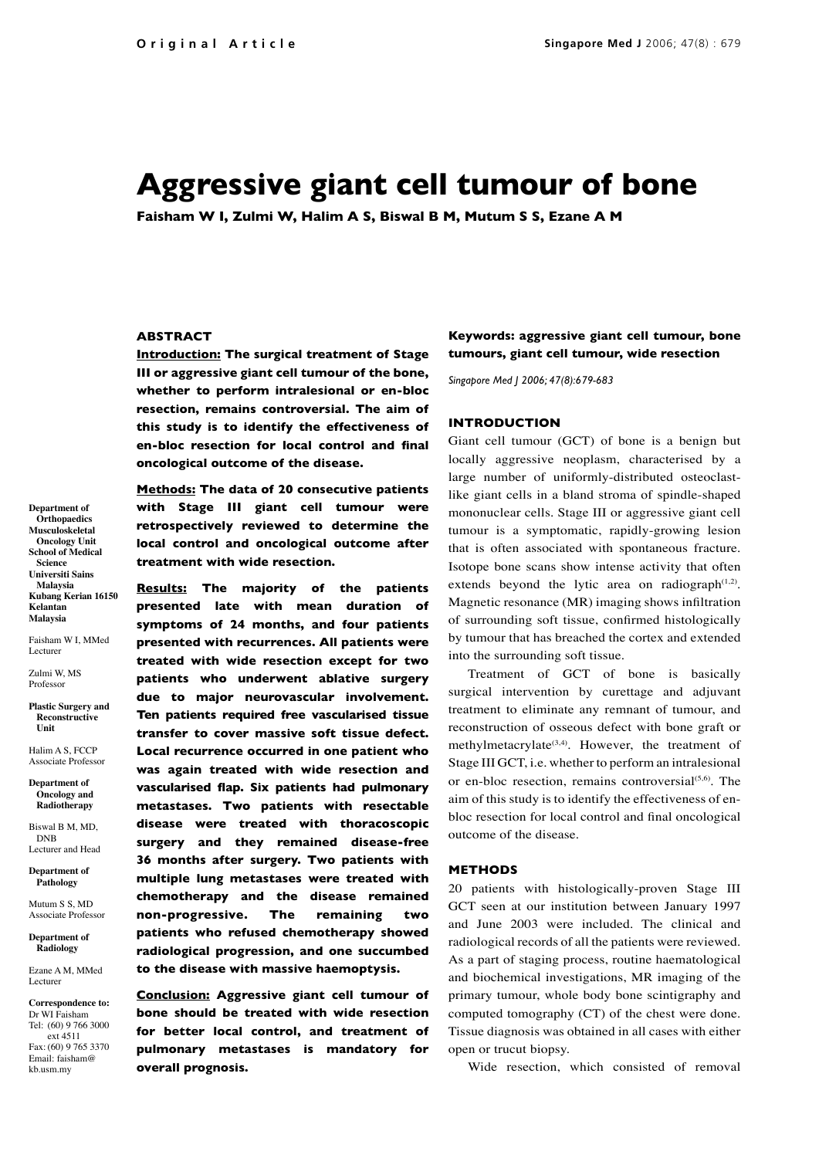# **Aggressive giant cell tumour of bone**

**Faisham W I, Zulmi W, Halim A S, Biswal B M, Mutum S S, Ezane A M**

# **ABSTRACT**

**Introduction: The surgical treatment of Stage III or aggressive giant cell tumour of the bone, whether to perform intralesional or en-bloc resection, remains controversial. The aim of this study is to identify the effectiveness of en-bloc resection for local control and final oncological outcome of the disease.**

**Department of Orthopaedics Musculoskeletal Oncology Unit School of Medical Science Universiti Sains Malaysia Kubang Kerian 16150 Kelantan Malaysia**

Faisham W I, MMed Lecturer

Zulmi W, MS Professor

**Plastic Surgery and Reconstructive Unit**

Halim A S, FCCP Associate Professor

**Department of Oncology and Radiotherapy**

Biswal B M, MD, DNB Lecturer and Head

**Department of Pathology**

Mutum S S, MD Associate Professor

**Department of Radiology**

Ezane A M, MMed Lecturer

**Correspondence to:** Dr WI Faisham Tel: (60) 9 766 3000 ext 4511 Fax: (60) 9 765 3370 Email: faisham@ kb.usm.my

**Methods: The data of 20 consecutive patients with Stage III giant cell tumour were retrospectively reviewed to determine the local control and oncological outcome after treatment with wide resection.**

**Results: The majority of the patients presented late with mean duration of symptoms of 24 months, and four patients presented with recurrences. All patients were treated with wide resection except for two patients who underwent ablative surgery due to major neurovascular involvement. Ten patients required free vascularised tissue transfer to cover massive soft tissue defect. Local recurrence occurred in one patient who was again treated with wide resection and vascularised flap. Six patients had pulmonary metastases. Two patients with resectable disease were treated with thoracoscopic surgery and they remained disease-free 36 months after surgery. Two patients with multiple lung metastases were treated with chemotherapy and the disease remained non-progressive. The remaining two patients who refused chemotherapy showed radiological progression, and one succumbed to the disease with massive haemoptysis.**

**Conclusion: Aggressive giant cell tumour of bone should be treated with wide resection for better local control, and treatment of pulmonary metastases is mandatory for overall prognosis.**

**Keywords: aggressive giant cell tumour, bone tumours, giant cell tumour, wide resection**

*Singapore Med J 2006; 47(8):679-683*

#### **INTRODUCTION**

Giant cell tumour (GCT) of bone is a benign but locally aggressive neoplasm, characterised by a large number of uniformly-distributed osteoclastlike giant cells in a bland stroma of spindle-shaped mononuclear cells. Stage III or aggressive giant cell tumour is a symptomatic, rapidly-growing lesion that is often associated with spontaneous fracture. Isotope bone scans show intense activity that often extends beyond the lytic area on radiograph $(1,2)$ . Magnetic resonance (MR) imaging shows infiltration of surrounding soft tissue, confirmed histologically by tumour that has breached the cortex and extended into the surrounding soft tissue.

Treatment of GCT of bone is basically surgical intervention by curettage and adjuvant treatment to eliminate any remnant of tumour, and reconstruction of osseous defect with bone graft or methylmetacrylate<sup>(3,4)</sup>. However, the treatment of Stage III GCT, i.e. whether to perform an intralesional or en-bloc resection, remains controversial<sup>(5,6)</sup>. The aim of this study is to identify the effectiveness of enbloc resection for local control and final oncological outcome of the disease.

# **METHODS**

20 patients with histologically-proven Stage III GCT seen at our institution between January 1997 and June 2003 were included. The clinical and radiological records of all the patients were reviewed. As a part of staging process, routine haematological and biochemical investigations, MR imaging of the primary tumour, whole body bone scintigraphy and computed tomography (CT) of the chest were done. Tissue diagnosis was obtained in all cases with either open or trucut biopsy.

Wide resection, which consisted of removal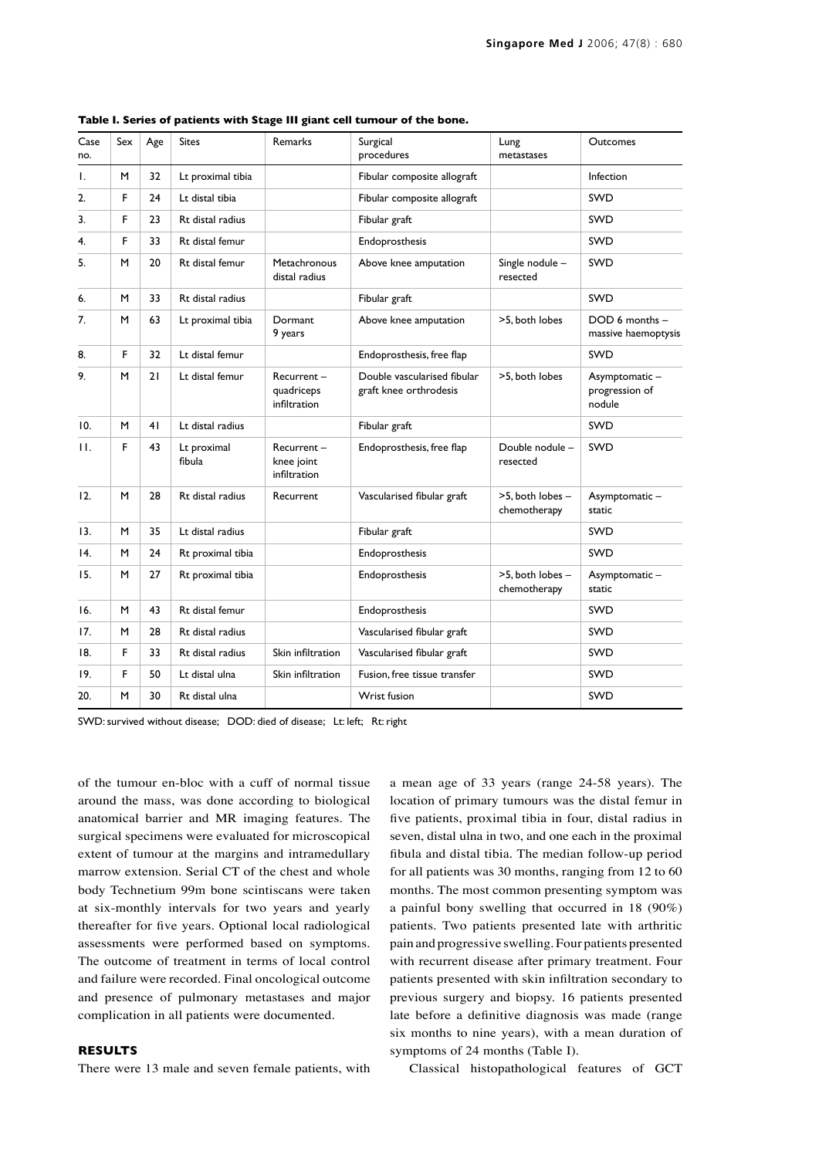| Case<br>no.       | Sex | Age | <b>Sites</b>          | <b>Remarks</b>                           | Surgical<br>procedures                                | Lung<br>metastases               | <b>Outcomes</b>                           |
|-------------------|-----|-----|-----------------------|------------------------------------------|-------------------------------------------------------|----------------------------------|-------------------------------------------|
| Ι.                | M   | 32  | Lt proximal tibia     |                                          | Fibular composite allograft                           |                                  | Infection                                 |
| 2.                | F   | 24  | Lt distal tibia       |                                          | Fibular composite allograft                           |                                  | <b>SWD</b>                                |
| 3.                | F.  | 23  | Rt distal radius      |                                          | Fibular graft                                         |                                  | <b>SWD</b>                                |
| 4.                | F.  | 33  | Rt distal femur       |                                          | Endoprosthesis                                        |                                  | <b>SWD</b>                                |
| 5.                | M   | 20  | Rt distal femur       | Metachronous<br>distal radius            | Above knee amputation                                 | Single nodule -<br>resected      | <b>SWD</b>                                |
| 6.                | M   | 33  | Rt distal radius      |                                          | Fibular graft                                         |                                  | <b>SWD</b>                                |
| 7.                | м   | 63  | Lt proximal tibia     | Dormant<br>9 years                       | Above knee amputation                                 | >5, both lobes                   | DOD 6 months -<br>massive haemoptysis     |
| 8.                | F.  | 32  | Lt distal femur       |                                          | Endoprosthesis, free flap                             |                                  | <b>SWD</b>                                |
| 9.                | M   | 21  | Lt distal femur       | Recurrent-<br>quadriceps<br>infiltration | Double vascularised fibular<br>graft knee orthrodesis | >5, both lobes                   | Asymptomatic-<br>progression of<br>nodule |
| 10.               | M   | 41  | Lt distal radius      |                                          | Fibular graft                                         |                                  | SWD                                       |
| $\mathsf{H}.$     | F   | 43  | Lt proximal<br>fibula | Recurrent-<br>knee joint<br>infiltration | Endoprosthesis, free flap                             | Double nodule -<br>resected      | <b>SWD</b>                                |
| 12.               | M   | 28  | Rt distal radius      | Recurrent                                | Vascularised fibular graft                            | >5, both lobes -<br>chemotherapy | Asymptomatic-<br>static                   |
| 13.               | M   | 35  | Lt distal radius      |                                          | Fibular graft                                         |                                  | SWD                                       |
| $\overline{14}$ . | м   | 24  | Rt proximal tibia     |                                          | Endoprosthesis                                        |                                  | <b>SWD</b>                                |
| 15.               | M   | 27  | Rt proximal tibia     |                                          | Endoprosthesis                                        | >5, both lobes -<br>chemotherapy | Asymptomatic-<br>static                   |
| 16.               | M   | 43  | Rt distal femur       |                                          | Endoprosthesis                                        |                                  | <b>SWD</b>                                |
| 17.               | м   | 28  | Rt distal radius      |                                          | Vascularised fibular graft                            |                                  | SWD                                       |
| 18.               | F.  | 33  | Rt distal radius      | Skin infiltration                        | Vascularised fibular graft                            |                                  | <b>SWD</b>                                |
| 19.               | F.  | 50  | Lt distal ulna        | Skin infiltration                        | Fusion, free tissue transfer                          |                                  | SWD                                       |
| 20.               | м   | 30  | Rt distal ulna        |                                          | <b>Wrist fusion</b>                                   |                                  | <b>SWD</b>                                |

**Table I. Series of patients with Stage III giant cell tumour of the bone.**

SWD: survived without disease; DOD: died of disease; Lt: left; Rt: right

of the tumour en-bloc with a cuff of normal tissue around the mass, was done according to biological anatomical barrier and MR imaging features. The surgical specimens were evaluated for microscopical extent of tumour at the margins and intramedullary marrow extension. Serial CT of the chest and whole body Technetium 99m bone scintiscans were taken at six-monthly intervals for two years and yearly thereafter for five years. Optional local radiological assessments were performed based on symptoms. The outcome of treatment in terms of local control and failure were recorded. Final oncological outcome and presence of pulmonary metastases and major complication in all patients were documented.

## **RESULTS**

There were 13 male and seven female patients, with

a mean age of 33 years (range 24-58 years). The location of primary tumours was the distal femur in five patients, proximal tibia in four, distal radius in seven, distal ulna in two, and one each in the proximal fibula and distal tibia. The median follow-up period for all patients was 30 months, ranging from 12 to 60 months. The most common presenting symptom was a painful bony swelling that occurred in 18 (90%) patients. Two patients presented late with arthritic pain and progressive swelling. Four patients presented with recurrent disease after primary treatment. Four patients presented with skin infiltration secondary to previous surgery and biopsy. 16 patients presented late before a definitive diagnosis was made (range six months to nine years), with a mean duration of symptoms of 24 months (Table I).

Classical histopathological features of GCT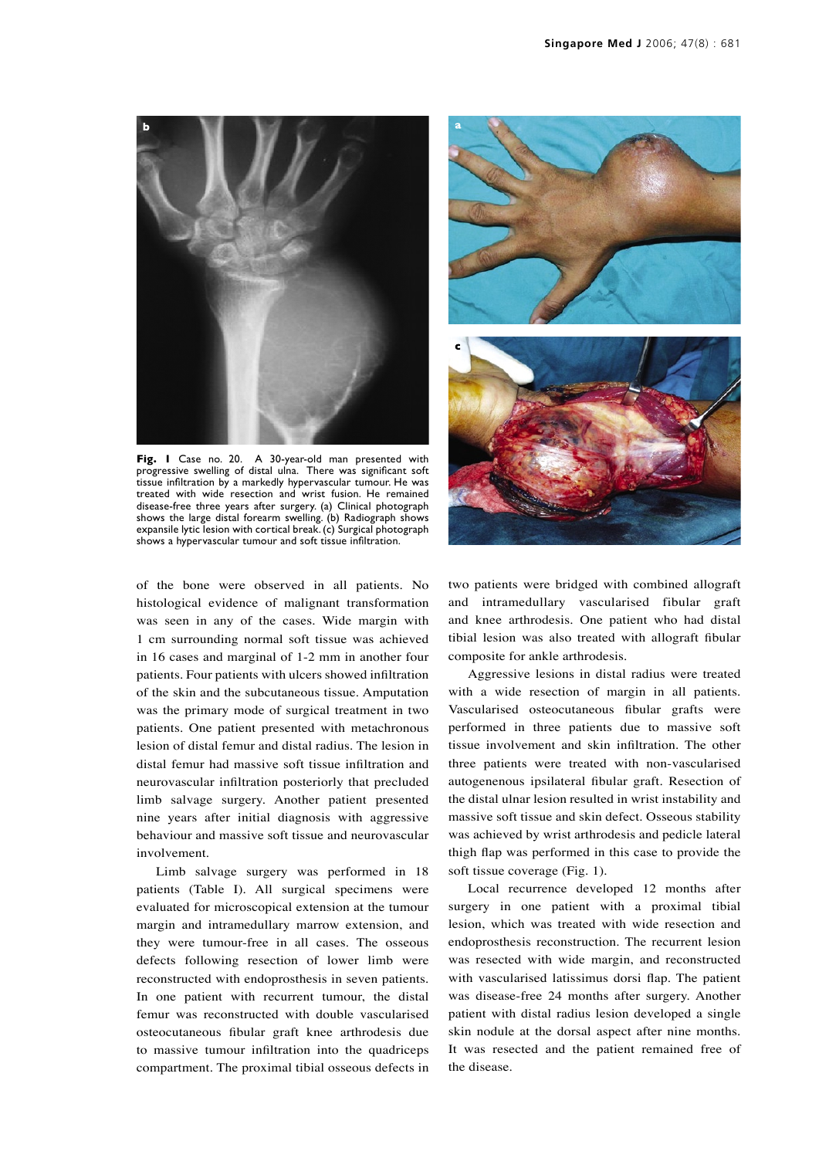

**Fig. 1** Case no. 20. A 30-year-old man presented with progressive swelling of distal ulna. There was significant soft tissue infiltration by a markedly hypervascular tumour. He was treated with wide resection and wrist fusion. He remained disease-free three years after surgery. (a) Clinical photograph shows the large distal forearm swelling. (b) Radiograph shows expansile lytic lesion with cortical break. (c) Surgical photograph shows a hypervascular tumour and soft tissue infiltration.

of the bone were observed in all patients. No histological evidence of malignant transformation was seen in any of the cases. Wide margin with 1 cm surrounding normal soft tissue was achieved in 16 cases and marginal of 1-2 mm in another four patients. Four patients with ulcers showed infiltration of the skin and the subcutaneous tissue. Amputation was the primary mode of surgical treatment in two patients. One patient presented with metachronous lesion of distal femur and distal radius. The lesion in distal femur had massive soft tissue infiltration and neurovascular infiltration posteriorly that precluded limb salvage surgery. Another patient presented nine years after initial diagnosis with aggressive behaviour and massive soft tissue and neurovascular involvement.

Limb salvage surgery was performed in 18 patients (Table I). All surgical specimens were evaluated for microscopical extension at the tumour margin and intramedullary marrow extension, and they were tumour-free in all cases. The osseous defects following resection of lower limb were reconstructed with endoprosthesis in seven patients. In one patient with recurrent tumour, the distal femur was reconstructed with double vascularised osteocutaneous fibular graft knee arthrodesis due to massive tumour infiltration into the quadriceps compartment. The proximal tibial osseous defects in



two patients were bridged with combined allograft and intramedullary vascularised fibular graft and knee arthrodesis. One patient who had distal tibial lesion was also treated with allograft fibular composite for ankle arthrodesis.

Aggressive lesions in distal radius were treated with a wide resection of margin in all patients. Vascularised osteocutaneous fibular grafts were performed in three patients due to massive soft tissue involvement and skin infiltration. The other three patients were treated with non-vascularised autogenenous ipsilateral fibular graft. Resection of the distal ulnar lesion resulted in wrist instability and massive soft tissue and skin defect. Osseous stability was achieved by wrist arthrodesis and pedicle lateral thigh flap was performed in this case to provide the soft tissue coverage (Fig. 1).

Local recurrence developed 12 months after surgery in one patient with a proximal tibial lesion, which was treated with wide resection and endoprosthesis reconstruction. The recurrent lesion was resected with wide margin, and reconstructed with vascularised latissimus dorsi flap. The patient was disease-free 24 months after surgery. Another patient with distal radius lesion developed a single skin nodule at the dorsal aspect after nine months. It was resected and the patient remained free of the disease.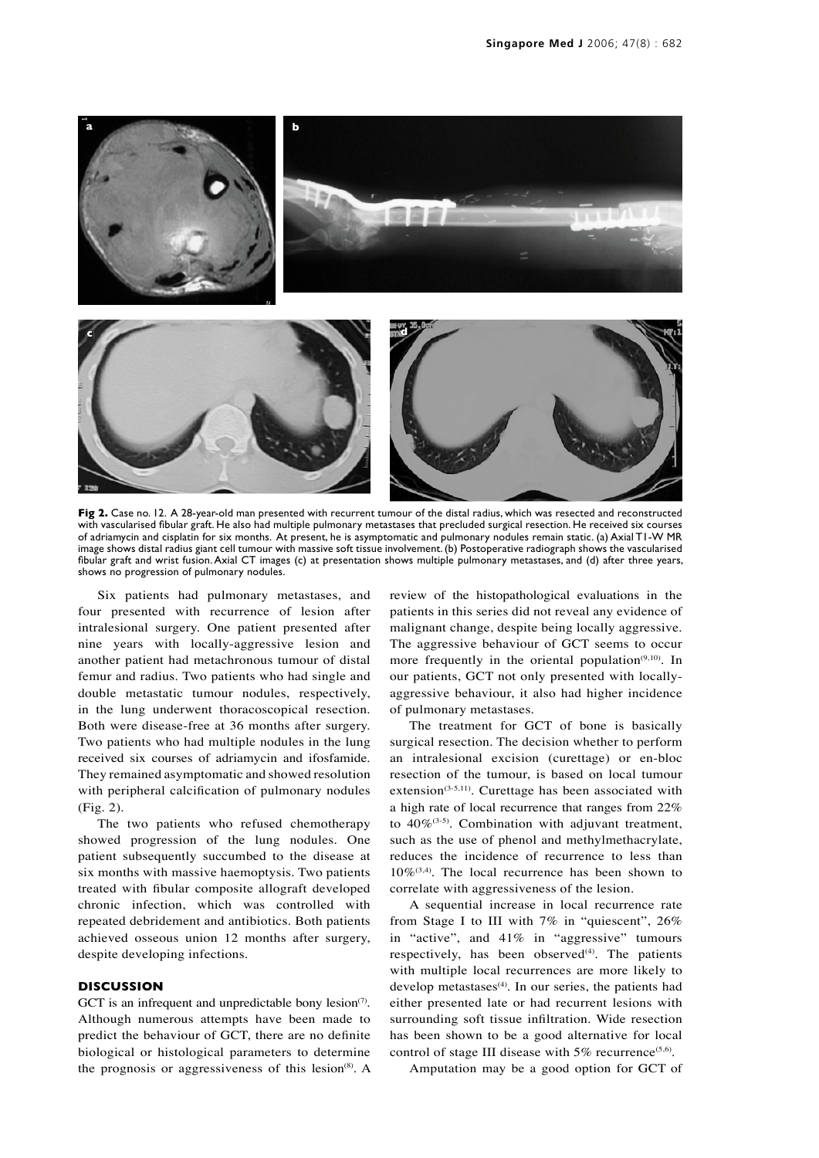

**Fig 2.** Case no. 12. A 28-year-old man presented with recurrent tumour of the distal radius, which was resected and reconstructed with vascularised fibular graft. He also had multiple pulmonary metastases that precluded surgical resection. He received six courses of adriamycin and cisplatin for six months. At present, he is asymptomatic and pulmonary nodules remain static. (a) Axial T1-W MR image shows distal radius giant cell tumour with massive soft tissue involvement. (b) Postoperative radiograph shows the vascularised fibular graft and wrist fusion. Axial CT images (c) at presentation shows multiple pulmonary metastases, and (d) after three years, shows no progression of pulmonary nodules.

Six patients had pulmonary metastases, and four presented with recurrence of lesion after intralesional surgery. One patient presented after nine years with locally-aggressive lesion and another patient had metachronous tumour of distal femur and radius. Two patients who had single and double metastatic tumour nodules, respectively, in the lung underwent thoracoscopical resection. Both were disease-free at 36 months after surgery. Two patients who had multiple nodules in the lung received six courses of adriamycin and ifosfamide. They remained asymptomatic and showed resolution with peripheral calcification of pulmonary nodules (Fig. 2).

The two patients who refused chemotherapy showed progression of the lung nodules. One patient subsequently succumbed to the disease at six months with massive haemoptysis. Two patients treated with fibular composite allograft developed chronic infection, which was controlled with repeated debridement and antibiotics. Both patients achieved osseous union 12 months after surgery, despite developing infections.

#### **DISCUSSION**

GCT is an infrequent and unpredictable bony lesion<sup> $(7)$ </sup>. Although numerous attempts have been made to predict the behaviour of GCT, there are no definite biological or histological parameters to determine the prognosis or aggressiveness of this lesion $(8)$ . A review of the histopathological evaluations in the patients in this series did not reveal any evidence of malignant change, despite being locally aggressive. The aggressive behaviour of GCT seems to occur more frequently in the oriental population<sup> $(9,10)$ </sup>. In our patients, GCT not only presented with locallyaggressive behaviour, it also had higher incidence of pulmonary metastases.

The treatment for GCT of bone is basically surgical resection. The decision whether to perform an intralesional excision (curettage) or en-bloc resection of the tumour, is based on local tumour extension $(3-5,11)$ . Curettage has been associated with a high rate of local recurrence that ranges from 22% to  $40\%$ <sup>(3-5)</sup>. Combination with adjuvant treatment, such as the use of phenol and methylmethacrylate, reduces the incidence of recurrence to less than  $10\%$ <sup>(3,4)</sup>. The local recurrence has been shown to correlate with aggressiveness of the lesion.

A sequential increase in local recurrence rate from Stage I to III with 7% in "quiescent", 26% in "active", and 41% in "aggressive" tumours respectively, has been observed $(4)$ . The patients with multiple local recurrences are more likely to develop metastases<sup>(4)</sup>. In our series, the patients had either presented late or had recurrent lesions with surrounding soft tissue infiltration. Wide resection has been shown to be a good alternative for local control of stage III disease with  $5\%$  recurrence<sup>(5,6)</sup>.

Amputation may be a good option for GCT of